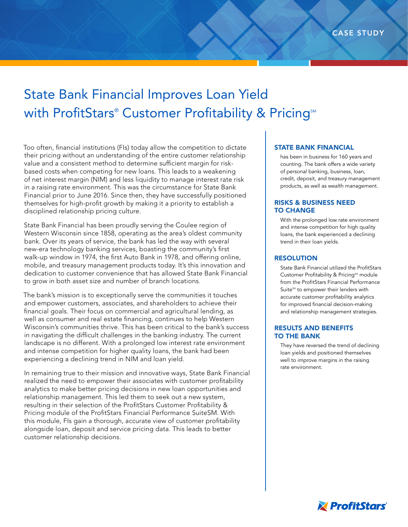# State Bank Financial Improves Loan Yield with ProfitStars® Customer Profitability & Pricing™

Too often, financial institutions (FIs) today allow the competition to dictate their pricing without an understanding of the entire customer relationship value and a consistent method to determine sufficient margin for riskbased costs when competing for new loans. This leads to a weakening of net interest margin (NIM) and less liquidity to manage interest rate risk in a raising rate environment. This was the circumstance for State Bank Financial prior to June 2016. Since then, they have successfully positioned themselves for high-profit growth by making it a priority to establish a disciplined relationship pricing culture.

State Bank Financial has been proudly serving the Coulee region of Western Wisconsin since 1858, operating as the area's oldest community bank. Over its years of service, the bank has led the way with several new-era technology banking services, boasting the community's first walk-up window in 1974, the first Auto Bank in 1978, and offering online, mobile, and treasury management products today. It's this innovation and dedication to customer convenience that has allowed State Bank Financial to grow in both asset size and number of branch locations.

The bank's mission is to exceptionally serve the communities it touches and empower customers, associates, and shareholders to achieve their financial goals. Their focus on commercial and agricultural lending, as well as consumer and real estate financing, continues to help Western Wisconsin's communities thrive. This has been critical to the bank's success in navigating the difficult challenges in the banking industry. The current landscape is no different. With a prolonged low interest rate environment and intense competition for higher quality loans, the bank had been experiencing a declining trend in NIM and loan yield.

In remaining true to their mission and innovative ways, State Bank Financial realized the need to empower their associates with customer profitability analytics to make better pricing decisions in new loan opportunities and relationship management. This led them to seek out a new system, resulting in their selection of the ProfitStars Customer Profitability & Pricing module of the ProfitStars Financial Performance SuiteSM. With this module, FIs gain a thorough, accurate view of customer profitability alongside loan, deposit and service pricing data. This leads to better customer relationship decisions.

## STATE BANK FINANCIAL

has been in business for 160 years and counting. The bank offers a wide variety of personal banking, business, loan, credit, deposit, and treasury management products, as well as wealth management.

# RISKS & BUSINESS NEED TO CHANGE

With the prolonged low rate environment and intense competition for high quality loans, the bank experienced a declining trend in their loan yields.

## RESOLUTION

State Bank Financial utilized the ProfitStars Customer Profitability & Pricing<sup>5M</sup> module from the ProfitStars Financial Performance Suite<sup>™</sup> to empower their lenders with accurate customer profitability analytics for improved financial decision-making and relationship management strategies.

## RESULTS AND BENEFITS TO THE BANK

They have reversed the trend of declining loan yields and positioned themselves well to improve margins in the raising rate environment.

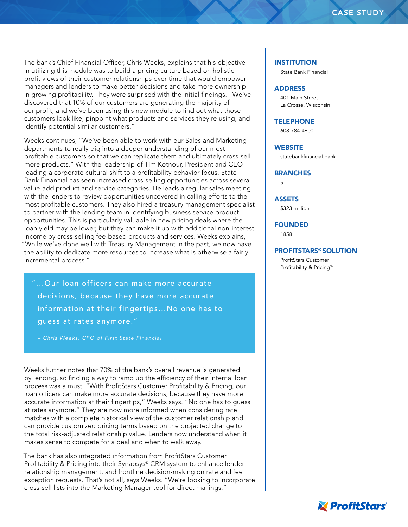The bank's Chief Financial Officer, Chris Weeks, explains that his objective in utilizing this module was to build a pricing culture based on holistic profit views of their customer relationships over time that would empower managers and lenders to make better decisions and take more ownership in growing profitability. They were surprised with the initial findings. "We've discovered that 10% of our customers are generating the majority of our profit, and we've been using this new module to find out what those customers look like, pinpoint what products and services they're using, and identify potential similar customers."

Weeks continues, "We've been able to work with our Sales and Marketing departments to really dig into a deeper understanding of our most profitable customers so that we can replicate them and ultimately cross-sell more products." With the leadership of Tim Kotnour, President and CEO leading a corporate cultural shift to a profitability behavior focus, State Bank Financial has seen increased cross-selling opportunities across several value-add product and service categories. He leads a regular sales meeting with the lenders to review opportunities uncovered in calling efforts to the most profitable customers. They also hired a treasury management specialist to partner with the lending team in identifying business service product opportunities. This is particularly valuable in new pricing deals where the loan yield may be lower, but they can make it up with additional non-interest income by cross-selling fee-based products and services. Weeks explains, "While we've done well with Treasury Management in the past, we now have the ability to dedicate more resources to increase what is otherwise a fairly incremental process."

"...Our loan officers can make more accurate decisions, because they have more accurate information at their fingertips...No one has to guess at rates anymore."

*– Chris Weeks, CFO of First State Financial*

Weeks further notes that 70% of the bank's overall revenue is generated by lending, so finding a way to ramp up the efficiency of their internal loan process was a must. "With ProfitStars Customer Profitability & Pricing, our loan officers can make more accurate decisions, because they have more accurate information at their fingertips," Weeks says. "No one has to guess at rates anymore." They are now more informed when considering rate matches with a complete historical view of the customer relationship and can provide customized pricing terms based on the projected change to the total risk-adjusted relationship value. Lenders now understand when it makes sense to compete for a deal and when to walk away.

The bank has also integrated information from ProfitStars Customer Profitability & Pricing into their Synapsys® CRM system to enhance lender relationship management, and frontline decision-making on rate and fee exception requests. That's not all, says Weeks. "We're looking to incorporate cross-sell lists into the Marketing Manager tool for direct mailings."

#### **INSTITUTION**

State Bank Financial

# ADDRESS

401 Main Street La Crosse, Wisconsin

#### **TELEPHONE**

608-784-4600

#### **WEBSITE**

statebankfinancial.bank

#### **BRANCHES**

5

## ASSETS

\$323 million

## FOUNDED

1858

#### PROFITSTARS® SOLUTION

ProfitStars Customer Profitability & Pricing<sup>SM</sup>